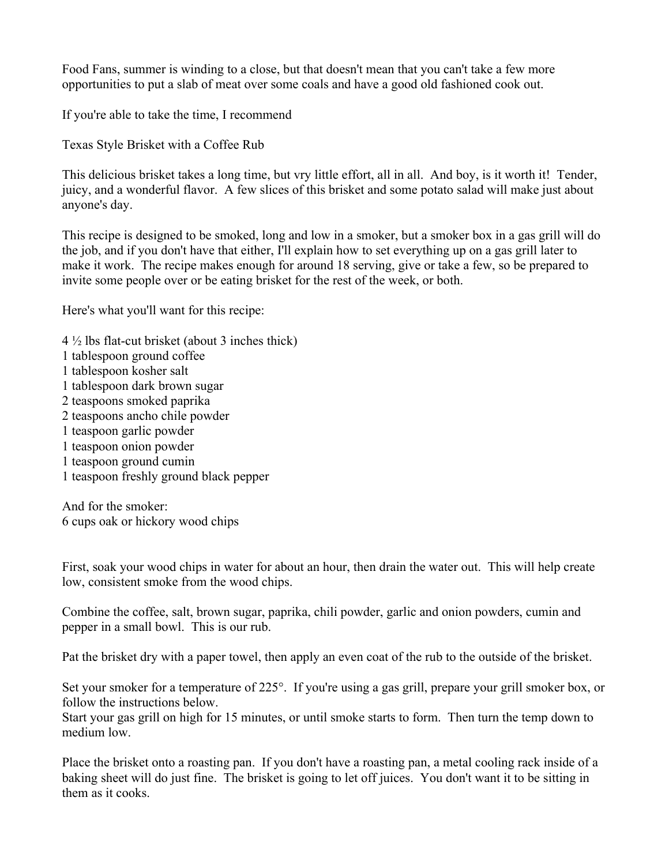Food Fans, summer is winding to a close, but that doesn't mean that you can't take a few more opportunities to put a slab of meat over some coals and have a good old fashioned cook out.

If you're able to take the time, I recommend

Texas Style Brisket with a Coffee Rub

This delicious brisket takes a long time, but vry little effort, all in all. And boy, is it worth it! Tender, juicy, and a wonderful flavor. A few slices of this brisket and some potato salad will make just about anyone's day.

This recipe is designed to be smoked, long and low in a smoker, but a smoker box in a gas grill will do the job, and if you don't have that either, I'll explain how to set everything up on a gas grill later to make it work. The recipe makes enough for around 18 serving, give or take a few, so be prepared to invite some people over or be eating brisket for the rest of the week, or both.

Here's what you'll want for this recipe:

- $4\frac{1}{2}$  lbs flat-cut brisket (about 3 inches thick)
- 1 tablespoon ground coffee
- 1 tablespoon kosher salt
- 1 tablespoon dark brown sugar
- 2 teaspoons smoked paprika
- 2 teaspoons ancho chile powder
- 1 teaspoon garlic powder
- 1 teaspoon onion powder
- 1 teaspoon ground cumin
- 1 teaspoon freshly ground black pepper

And for the smoker: 6 cups oak or hickory wood chips

First, soak your wood chips in water for about an hour, then drain the water out. This will help create low, consistent smoke from the wood chips.

Combine the coffee, salt, brown sugar, paprika, chili powder, garlic and onion powders, cumin and pepper in a small bowl. This is our rub.

Pat the brisket dry with a paper towel, then apply an even coat of the rub to the outside of the brisket.

Set your smoker for a temperature of 225°. If you're using a gas grill, prepare your grill smoker box, or follow the instructions below.

Start your gas grill on high for 15 minutes, or until smoke starts to form. Then turn the temp down to medium low.

Place the brisket onto a roasting pan. If you don't have a roasting pan, a metal cooling rack inside of a baking sheet will do just fine. The brisket is going to let off juices. You don't want it to be sitting in them as it cooks.